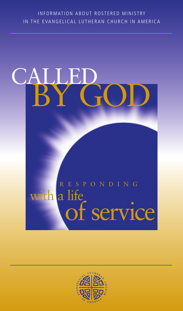### INFORMATION ABOUT ROSTERED MINISTRY IN THE EVANGELICAL LUTHERAN CHURCH IN AMERICA

# CALLED O RESPONDING with a life of service

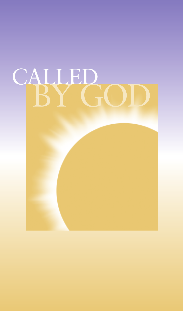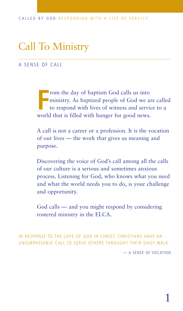## Call To Ministry

A SENSE OF CALL

From the day of baptism God calls us into ministry. As baptized people of God we as to respond with lives of witness and service world that is filled with hunger for good news. rom the day of baptism God calls us into ministry. As baptized people of God we are called to respond with lives of witness and service to a

A call is not a career or a profession. It is the vocation of our lives — the work that gives us meaning and purpose.

Discovering the voice of God's call among all the calls of our culture is a serious and sometimes anxious process. Listening for God, who knows what you need and what the world needs you to do, is your challenge and opportunity.

God calls — and you might respond by considering rostered ministry in the ELCA.

IN RESPONSE TO THE LOVE OF GOD IN CHRIST, CHRISTIANS HAVE AN UNSURPASSABLE CALL TO SERVE OTHERS THROUGHT THEIR DAILY WALK. — A SENSE OF VOCATION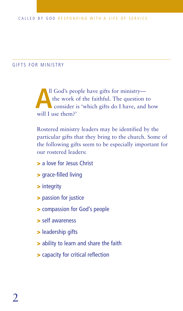#### GIFTS FOR MINISTRY

**A II** God's pec<br>
the work of<br>
consider if<br>
will I use them?' ll God's people have gifts for ministry the work of the faithful. The question to consider is 'which gifts do I have, and how

Rostered ministry leaders may be identified by the particular gifts that they bring to the church. Some of the following gifts seem to be especially important for our rostered leaders:

- **>** a love for Jesus Christ
- **>** grace-filled living
- **>** integrity
- **>** passion for justice
- **>** compassion for God's people
- **>** self awareness
- **>** leadership gifts
- **>** ability to learn and share the faith
- **>** capacity for critical reflection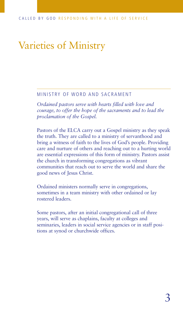## Varieties of Ministry

#### MINISTRY OF WORD AND SACRAMENT

*Ordained pastors serve with hearts filled with love and courage, to offer the hope of the sacraments and to lead the proclamation of the Gospel.*

Pastors of the ELCA carry out a Gospel ministry as they speak the truth. They are called to a ministry of servanthood and bring a witness of faith to the lives of God's people. Providing care and nurture of others and reaching out to a hurting world are essential expressions of this form of ministry. Pastors assist the church in transforming congregations as vibrant communities that reach out to serve the world and share the good news of Jesus Christ.

Ordained ministers normally serve in congregations, sometimes in a team ministry with other ordained or lay rostered leaders.

Some pastors, after an initial congregational call of three years, will serve as chaplains, faculty at colleges and seminaries, leaders in social service agencies or in staff positions at synod or churchwide offices.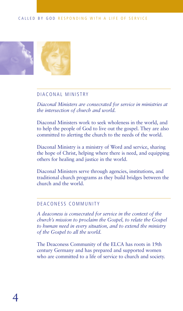

#### DIACONAL MINISTRY

*Diaconal Ministers are consecrated for service in ministries at the intersection of church and world.*

Diaconal Ministers work to seek wholeness in the world, and to help the people of God to live out the gospel. They are also committed to alerting the church to the needs of the world.

Diaconal Ministry is a ministry of Word and service, sharing the hope of Christ, helping where there is need, and equipping others for healing and justice in the world.

Diaconal Ministers serve through agencies, institutions, and traditional church programs as they build bridges between the church and the world.

#### DEACONESS COMMUNITY

*A deaconess is consecrated for service in the context of the church's mission to proclaim the Gospel, to relate the Gospel to human need in every situation, and to extend the ministry of the Gospel to all the world.*

The Deaconess Community of the ELCA has roots in 19th century Germany and has prepared and supported women who are committed to a life of service to church and society.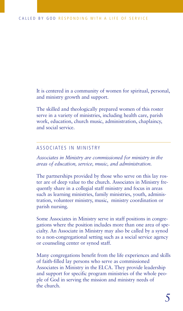It is centered in a community of women for spiritual, personal, and ministry growth and support.

The skilled and theologically prepared women of this roster serve in a variety of ministries, including health care, parish work, education, church music, administration, chaplaincy, and social service.

#### ASSOCIATES IN MINISTRY

*Associates in Ministry are commissioned for ministry in the areas of education, service, music, and administration.*

The partnerships provided by those who serve on this lay roster are of deep value to the church. Associates in Ministry frequently share in a collegial staff ministry and focus in areas such as learning ministries, family ministries, youth, administration, volunteer ministry, music, ministry coordination or parish nursing.

Some Associates in Ministry serve in staff positions in congregations where the position includes more than one area of specialty. An Associate in Ministry may also be called by a synod to a non-congregational setting such as a social service agency or counseling center or synod staff.

Many congregations benefit from the life experiences and skills of faith-filled lay persons who serve as commissioned Associates in Ministry in the ELCA. They provide leadership and support for specific program ministries of the whole people of God in serving the mission and ministry needs of the church.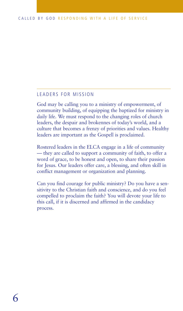#### LEADERS FOR MISSION

God may be calling you to a ministry of empowerment, of community building, of equipping the baptized for ministry in daily life. We must respond to the changing roles of church leaders, the despair and brokennes of today's world, and a culture that becomes a frenzy of priorities and values. Healthy leaders are important as the Gospell is proclaimed.

Rostered leaders in the ELCA engage in a life of community — they are called to support a community of faith, to offer a word of grace, to be honest and open, to share their passion for Jesus. Our leaders offer care, a blessing, and often skill in conflict management or organization and planning.

Can you find courage for public ministry? Do you have a sensitivity to the Christian faith and conscience, and do you feel compelled to proclaim the faith? You will devote your life to this call, if it is discerned and affirmed in the candidacy process.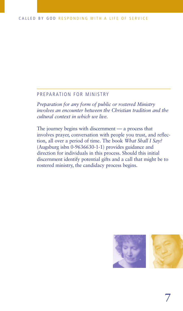#### PREPARATION FOR MINISTRY

*Preparation for any form of public or rostered Ministry involves an encounter between the Christian tradition and the cultural context in which we live.*

The journey begins with discernment — a process that involves prayer, conversation with people you trust, and reflection, all over a period of time. The book *What Shall I Say?* (Augsburg isbn 0-9636630-1-1) provides guidance and direction for individuals in this process. Should this initial discernment identify potential gifts and a call that might be to rostered ministry, the candidacy process begins.

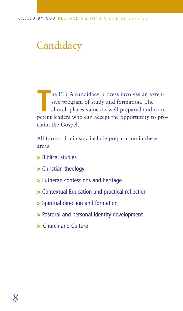## Candidacy

**THE RELOA candidacy process involves an extensive program of study and formation. The church places value on well-prepared and competent leaders who can accept the opportunity to pro**he ELCA candidacy process involves an extensive program of study and formation. The church places value on well-prepared and comclaim the Gospel.

All forms of ministry include preparation in these areas:

- **>** Biblical studies
- **>** Christian theology
- **>** Lutheran confessions and heritage
- **>** Contextual Education and practical reflection
- **>** Spiritual direction and formation
- **>** Pastoral and personal identity development
- **>** Church and Culture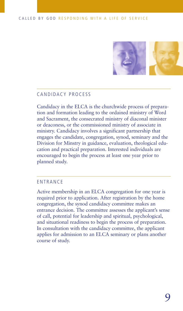

#### CANDIDACY PROCESS

Candidacy in the ELCA is the churchwide process of preparation and formation leading to the ordained ministry of Word and Sacrament, the consecrated ministry of diaconal minister or deaconess, or the commissioned ministry of associate in ministry. Candidacy involves a significant partnership that engages the candidate, congregation, synod, seminary and the Division for Minstry in guidance, evaluation, theological education and practical preparation. Interested individuals are encouraged to begin the process at least one year prior to planned study.

#### ENTRANCE

Active membership in an ELCA congregation for one year is required prior to application. After registration by the home congregation, the synod candidacy committee makes an entrance decision. The committee assesses the applicant's sense of call, potential for leadership and spiritual, psychological, and situational readiness to begin the process of preparation. In consultation with the candidacy committee, the applicant applies for admission to an ELCA seminary or plans another course of study.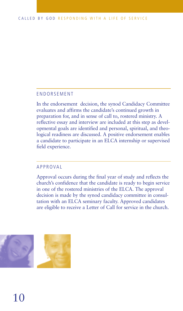#### ENDORSEMENT

In the endorsement decision, the synod Candidacy Committee evaluates and affirms the candidate's continued growth in preparation for, and in sense of call to, rostered ministry. A reflective essay and interview are included at this step as developmental goals are identified and personal, spiritual, and theological readiness are discussed. A positive endorsement enables a candidate to participate in an ELCA internship or supervised field experience.

#### APPROVAL

Approval occurs during the final year of study and reflects the church's confidence that the candidate is ready to begin service in one of the rostered ministries of the ELCA. The approval decision is made by the synod candidacy committee in consultation with an ELCA seminary faculty. Approved candidates are eligible to receive a Letter of Call for service in the church.

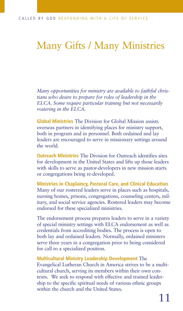## Many Gifts / Many Ministries

*Many opportunities for ministry are available to faithful christians who desire to prepare for roles of leadership in the ELCA. Some require particular training but not necessarily rostering in the ELCA.*

**Global Ministries** The Division for Global Mission assists overseas partners in identifying places for ministry support, both in program and in personnel. Both ordained and lay leaders are encouraged to serve in missionary settings around the world.

**Outreach Ministries** The Division for Outreach identifies sites for development in the United States and lifts up those leaders with skills to serve as pastor-developers in new mission starts or congregations being re-developed.

**Ministries in Chaplaincy, Pastoral Care, and Clinical Education** Many of our rostered leaders serve in places such as hospitals, nursing homes, prisons, congregations, counseling centers, military, and social service agencies. Rostered leaders may become endorsed for these specialized ministries.

The endorsement process prepares leaders to serve in a variety of special ministry settings with ELCA endorsement as well as credentials from accrediting bodies. The process is open to both lay and ordained leaders. Normally, ordained ministers serve three years in a congregation prior to being considered for call to a specialized position.

#### **Multicultural Ministry Leadership Development** The

Evangelical Lutheran Church in America strives to be a multicultural church, serving its members within their own contexts. We seek to respond with effective and trained leadership to the specific spiritual needs of various ethnic groups within the church and the United States.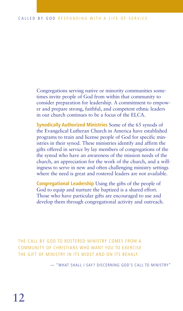Congregations serving native or minority communities sometimes invite people of God from within that community to consider preparation for leadership. A commitment to empower and prepare strong, faithful, and competent ethnic leaders in our church continues to be a focus of the ELCA.

**Synodically Authorized Ministries** Some of the 65 synods of the Evangelical Lutheran Church in America have established programs to train and license people of God for specific ministries in their synod. These ministries identify and affirm the gifts offered in service by lay members of congregations of the the synod who have an awareness of the mission needs of the church, an appreciation for the work of the church, and a willingness to serve in new and often challenging ministry settings where the need is great and rostered leaders are not available.

**Congregational Leadership** Using the gifts of the people of God to equip and nurture the baptized is a shared effort. Those who have particular gifts are encouraged to use and develop them through congregational activity and outreach.

THE CALL BY GOD TO ROSTERED MINISTRY COMES FROM A COMMUNITY OF CHRISTIANS WHO WANT YOU TO EXERCISE THE GIFT OF MINISTRY IN ITS MIDST AND ON ITS BEHALF.

— "WHAT SHALL I SAY? DISCERNING GOD'S CALL TO MINISTRY"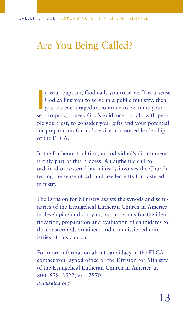## Are You Being Called?

In your baptism, God calls you to serve. If you sens God calling you to serve in a public ministry, then you are encouraged to continue to examine yourself, to pray, to seek God's guidance, to talk with peon your baptism, God calls you to serve. If you sense God calling you to serve in a public ministry, then you are encouraged to continue to examine yourple you trust, to consider your gifts and your potential for preparation for and service in rostered leadership of the ELCA.

In the Lutheran tradition, an individual's discernment is only part of this process. An authentic call to ordained or rostered lay ministry involves the Church testing the sense of call and needed gifts for rostered ministry.

The Division for Ministry assists the synods and seminaries of the Evangelical Lutheran Church in America in developing and carrying out programs for the identification, preparation and evaluation of candidates for the consecrated, ordained, and commissioned ministries of this church.

For more information about candidacy in the ELCA contact your synod office or the Division for Ministry of the Evangelical Lutheran Church in America at 800. 638. 3522, ext. 2870. *www.elca.org*